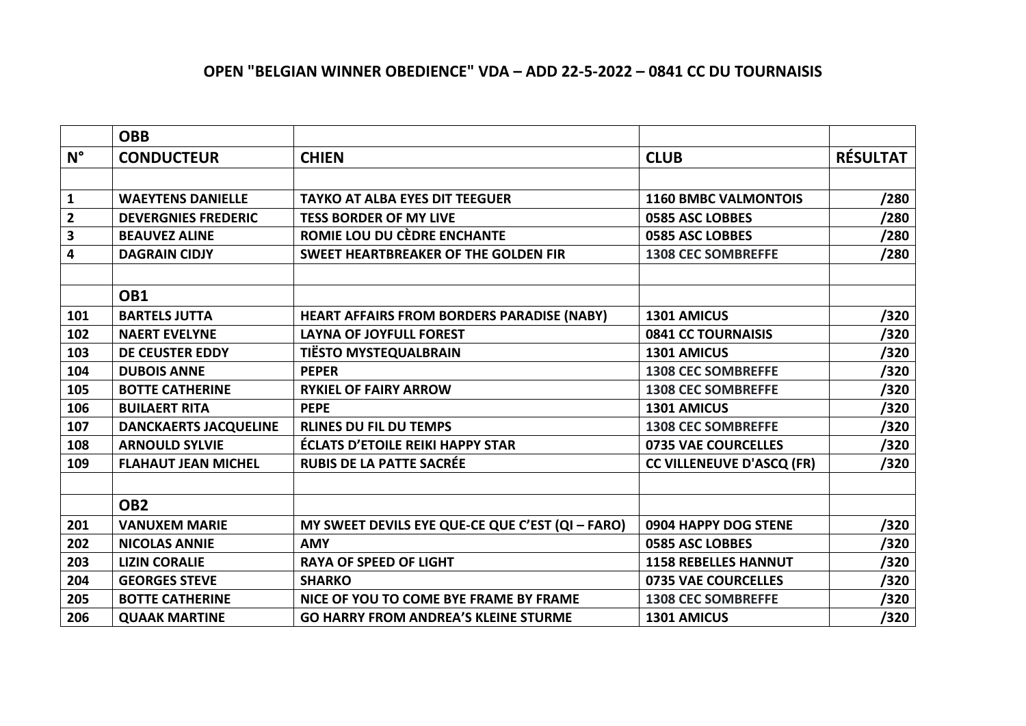## **OPEN "BELGIAN WINNER OBEDIENCE" VDA – ADD 22-5-2022 – 0841 CC DU TOURNAISIS**

|              | <b>OBB</b>                   |                                                   |                                  |                 |
|--------------|------------------------------|---------------------------------------------------|----------------------------------|-----------------|
| $N^{\circ}$  | <b>CONDUCTEUR</b>            | <b>CHIEN</b>                                      | <b>CLUB</b>                      | <b>RÉSULTAT</b> |
|              |                              |                                                   |                                  |                 |
| $\mathbf{1}$ | <b>WAEYTENS DANIELLE</b>     | <b>TAYKO AT ALBA EYES DIT TEEGUER</b>             | <b>1160 BMBC VALMONTOIS</b>      | /280            |
| $\mathbf{2}$ | <b>DEVERGNIES FREDERIC</b>   | <b>TESS BORDER OF MY LIVE</b>                     | 0585 ASC LOBBES                  | /280            |
| 3            | <b>BEAUVEZ ALINE</b>         | ROMIE LOU DU CÈDRE ENCHANTE                       | 0585 ASC LOBBES                  | /280            |
| 4            | <b>DAGRAIN CIDJY</b>         | <b>SWEET HEARTBREAKER OF THE GOLDEN FIR</b>       | <b>1308 CEC SOMBREFFE</b>        | /280            |
|              |                              |                                                   |                                  |                 |
|              | OB1                          |                                                   |                                  |                 |
| 101          | <b>BARTELS JUTTA</b>         | <b>HEART AFFAIRS FROM BORDERS PARADISE (NABY)</b> | 1301 AMICUS                      | /320            |
| 102          | <b>NAERT EVELYNE</b>         | <b>LAYNA OF JOYFULL FOREST</b>                    | 0841 CC TOURNAISIS               | /320            |
| 103          | <b>DE CEUSTER EDDY</b>       | <b>TIËSTO MYSTEQUALBRAIN</b>                      | 1301 AMICUS                      | /320            |
| 104          | <b>DUBOIS ANNE</b>           | <b>PEPER</b>                                      | <b>1308 CEC SOMBREFFE</b>        | /320            |
| 105          | <b>BOTTE CATHERINE</b>       | <b>RYKIEL OF FAIRY ARROW</b>                      | <b>1308 CEC SOMBREFFE</b>        | /320            |
| 106          | <b>BUILAERT RITA</b>         | <b>PEPE</b>                                       | 1301 AMICUS                      | /320            |
| 107          | <b>DANCKAERTS JACQUELINE</b> | <b>RLINES DU FIL DU TEMPS</b>                     | <b>1308 CEC SOMBREFFE</b>        | /320            |
| 108          | <b>ARNOULD SYLVIE</b>        | <b>ÉCLATS D'ETOILE REIKI HAPPY STAR</b>           | 0735 VAE COURCELLES              | /320            |
| 109          | <b>FLAHAUT JEAN MICHEL</b>   | <b>RUBIS DE LA PATTE SACRÉE</b>                   | <b>CC VILLENEUVE D'ASCQ (FR)</b> | /320            |
|              |                              |                                                   |                                  |                 |
|              | OB <sub>2</sub>              |                                                   |                                  |                 |
| 201          | <b>VANUXEM MARIE</b>         | MY SWEET DEVILS EYE QUE-CE QUE C'EST (QI - FARO)  | 0904 HAPPY DOG STENE             | /320            |
| 202          | <b>NICOLAS ANNIE</b>         | <b>AMY</b>                                        | 0585 ASC LOBBES                  | /320            |
| 203          | <b>LIZIN CORALIE</b>         | <b>RAYA OF SPEED OF LIGHT</b>                     | <b>1158 REBELLES HANNUT</b>      | /320            |
| 204          | <b>GEORGES STEVE</b>         | <b>SHARKO</b>                                     | 0735 VAE COURCELLES              | /320            |
| 205          | <b>BOTTE CATHERINE</b>       | NICE OF YOU TO COME BYE FRAME BY FRAME            | <b>1308 CEC SOMBREFFE</b>        | /320            |
| 206          | <b>QUAAK MARTINE</b>         | <b>GO HARRY FROM ANDREA'S KLEINE STURME</b>       | 1301 AMICUS                      | /320            |